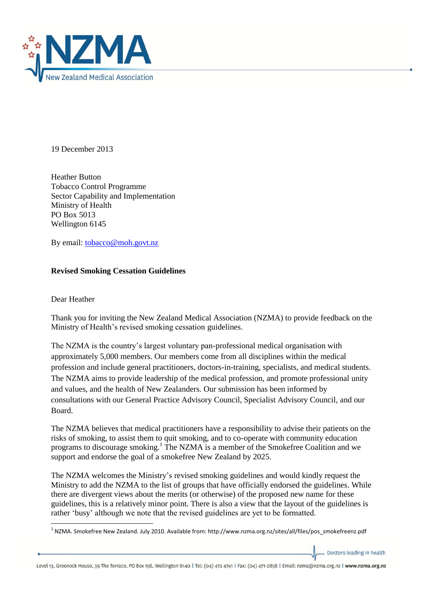

19 December 2013

Heather Button Tobacco Control Programme Sector Capability and Implementation Ministry of Health PO Box 5013 Wellington 6145

By email: [tobacco@moh.govt.nz](mailto:tobacco@moh.govt.nz) 

## **Revised Smoking Cessation Guidelines**

## Dear Heather

Thank you for inviting the New Zealand Medical Association (NZMA) to provide feedback on the Ministry of Health's revised smoking cessation guidelines.

The NZMA is the country's largest voluntary pan-professional medical organisation with approximately 5,000 members. Our members come from all disciplines within the medical profession and include general practitioners, doctors-in-training, specialists, and medical students. The NZMA aims to provide leadership of the medical profession, and promote professional unity and values, and the health of New Zealanders. Our submission has been informed by consultations with our General Practice Advisory Council, Specialist Advisory Council, and our Board.

The NZMA believes that medical practitioners have a responsibility to advise their patients on the risks of smoking, to assist them to quit smoking, and to co-operate with community education programs to discourage smoking.<sup>1</sup> The NZMA is a member of the Smokefree Coalition and we support and endorse the goal of a smokefree New Zealand by 2025.

The NZMA welcomes the Ministry's revised smoking guidelines and would kindly request the Ministry to add the NZMA to the list of groups that have officially endorsed the guidelines. While there are divergent views about the merits (or otherwise) of the proposed new name for these guidelines, this is a relatively minor point. There is also a view that the layout of the guidelines is rather 'busy' although we note that the revised guidelines are yet to be formatted.

Doctors leading in health

<sup>1</sup> <sup>1</sup> NZMA. Smokefree New Zealand. July 2010. Available from: http://www.nzma.org.nz/sites/all/files/pos\_smokefreenz.pdf